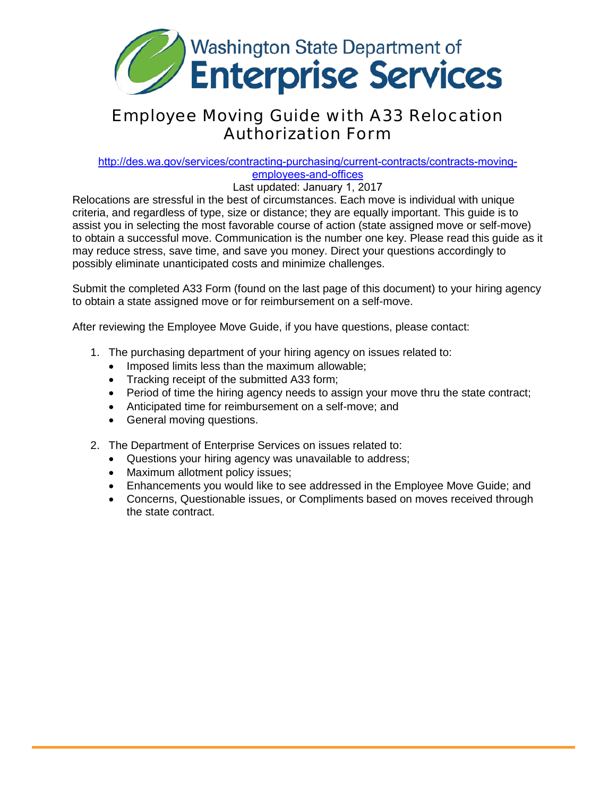

## Employee Moving Guide with A33 Relocation Authorization Form

#### [http://des.wa.gov/services/contracting-purchasing/current-contracts/contracts-moving-](http://des.wa.gov/services/contracting-purchasing/current-contracts/contracts-moving-employees-and-offices)

employees-and-offices

Last updated: January 1, 2017

Relocations are stressful in the best of circumstances. Each move is individual with unique criteria, and regardless of type, size or distance; they are equally important. This guide is to assist you in selecting the most favorable course of action (state assigned move or self-move) to obtain a successful move. Communication is the number one key. Please read this guide as it may reduce stress, save time, and save you money. Direct your questions accordingly to possibly eliminate unanticipated costs and minimize challenges.

Submit the completed A33 Form (found on the last page of this document) to your hiring agency to obtain a state assigned move or for reimbursement on a self-move.

After reviewing the Employee Move Guide, if you have questions, please contact:

- 1. The purchasing department of your hiring agency on issues related to:
	- Imposed limits less than the maximum allowable;
	- Tracking receipt of the submitted A33 form;
	- Period of time the hiring agency needs to assign your move thru the state contract;
	- Anticipated time for reimbursement on a self-move; and
	- General moving questions.
- 2. The Department of Enterprise Services on issues related to:
	- Questions your hiring agency was unavailable to address;
	- Maximum allotment policy issues;
	- Enhancements you would like to see addressed in the Employee Move Guide; and
	- Concerns, Questionable issues, or Compliments based on moves received through the state contract.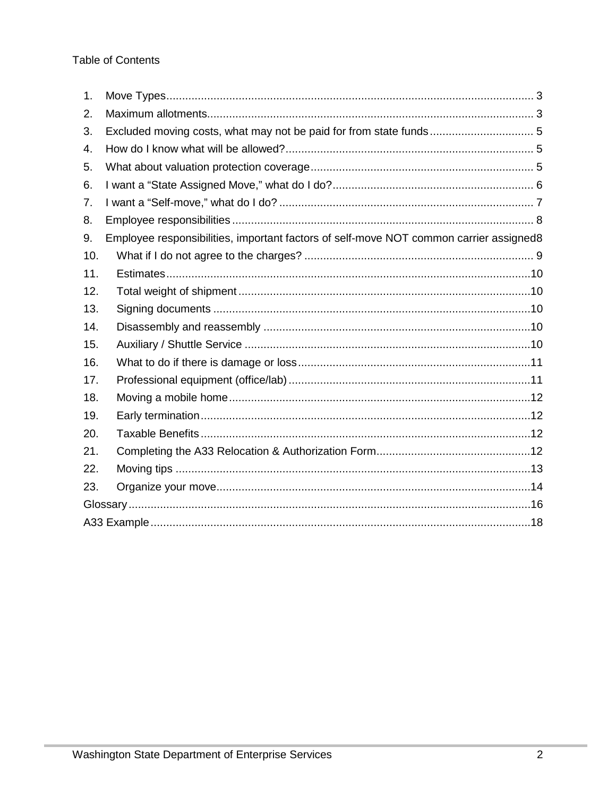| 1.  |                                                                                        |  |  |  |
|-----|----------------------------------------------------------------------------------------|--|--|--|
| 2.  |                                                                                        |  |  |  |
| 3.  |                                                                                        |  |  |  |
| 4.  |                                                                                        |  |  |  |
| 5.  |                                                                                        |  |  |  |
| 6.  |                                                                                        |  |  |  |
| 7.  |                                                                                        |  |  |  |
| 8.  |                                                                                        |  |  |  |
| 9.  | Employee responsibilities, important factors of self-move NOT common carrier assigned8 |  |  |  |
| 10. |                                                                                        |  |  |  |
| 11. |                                                                                        |  |  |  |
| 12. |                                                                                        |  |  |  |
| 13. |                                                                                        |  |  |  |
| 14. |                                                                                        |  |  |  |
| 15. |                                                                                        |  |  |  |
| 16. |                                                                                        |  |  |  |
| 17. |                                                                                        |  |  |  |
| 18. |                                                                                        |  |  |  |
| 19. |                                                                                        |  |  |  |
| 20. |                                                                                        |  |  |  |
| 21. |                                                                                        |  |  |  |
| 22. |                                                                                        |  |  |  |
| 23. |                                                                                        |  |  |  |
|     |                                                                                        |  |  |  |
|     |                                                                                        |  |  |  |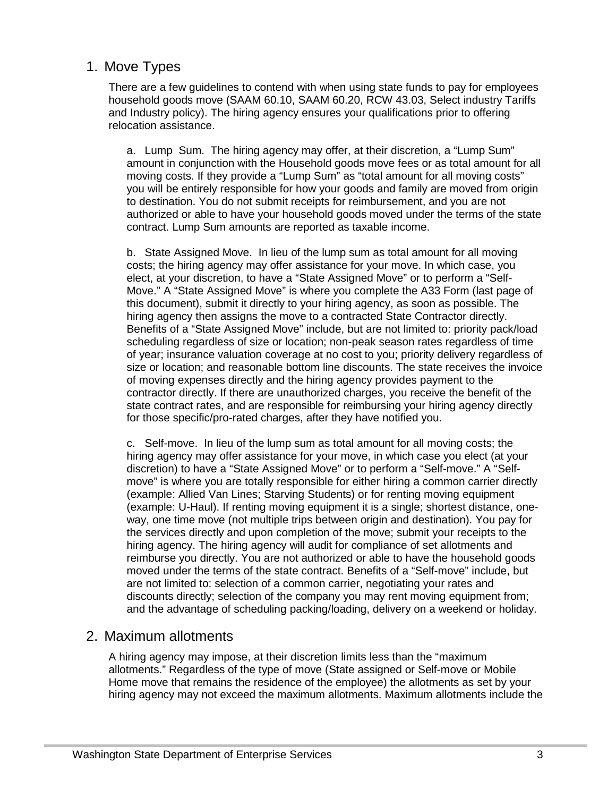#### <span id="page-2-0"></span>1. Move Types

There are a few guidelines to contend with when using state funds to pay for employees household goods move (SAAM 60.10, SAAM 60.20, RCW 43.03, Select industry Tariffs and Industry policy). The hiring agency ensures your qualifications prior to offering relocation assistance.

a. Lump Sum. The hiring agency may offer, at their discretion, a "Lump Sum" amount in conjunction with the Household goods move fees or as total amount for all moving costs. If they provide a "Lump Sum" as "total amount for all moving costs" you will be entirely responsible for how your goods and family are moved from origin to destination. You do not submit receipts for reimbursement, and you are not authorized or able to have your household goods moved under the terms of the state contract. Lump Sum amounts are reported as taxable income.

b. State Assigned Move. In lieu of the lump sum as total amount for all moving costs; the hiring agency may offer assistance for your move. In which case, you elect, at your discretion, to have a "State Assigned Move" or to perform a "Self-Move." A "State Assigned Move" is where you complete the A33 Form (last page of this document), submit it directly to your hiring agency, as soon as possible. The hiring agency then assigns the move to a contracted State Contractor directly. Benefits of a "State Assigned Move" include, but are not limited to: priority pack/load scheduling regardless of size or location; non-peak season rates regardless of time of year; insurance valuation coverage at no cost to you; priority delivery regardless of size or location; and reasonable bottom line discounts. The state receives the invoice of moving expenses directly and the hiring agency provides payment to the contractor directly. If there are unauthorized charges, you receive the benefit of the state contract rates, and are responsible for reimbursing your hiring agency directly for those specific/pro-rated charges, after they have notified you.

c. Self-move. In lieu of the lump sum as total amount for all moving costs; the hiring agency may offer assistance for your move, in which case you elect (at your discretion) to have a "State Assigned Move" or to perform a "Self-move." A "Selfmove" is where you are totally responsible for either hiring a common carrier directly (example: Allied Van Lines; Starving Students) or for renting moving equipment (example: U-Haul). If renting moving equipment it is a single; shortest distance, oneway, one time move (not multiple trips between origin and destination). You pay for the services directly and upon completion of the move; submit your receipts to the hiring agency. The hiring agency will audit for compliance of set allotments and reimburse you directly. You are not authorized or able to have the household goods moved under the terms of the state contract. Benefits of a "Self-move" include, but are not limited to: selection of a common carrier, negotiating your rates and discounts directly; selection of the company you may rent moving equipment from; and the advantage of scheduling packing/loading, delivery on a weekend or holiday.

#### <span id="page-2-1"></span>2. Maximum allotments

A hiring agency may impose, at their discretion limits less than the "maximum allotments." Regardless of the type of move (State assigned or Self-move or Mobile Home move that remains the residence of the employee) the allotments as set by your hiring agency may not exceed the maximum allotments. Maximum allotments include the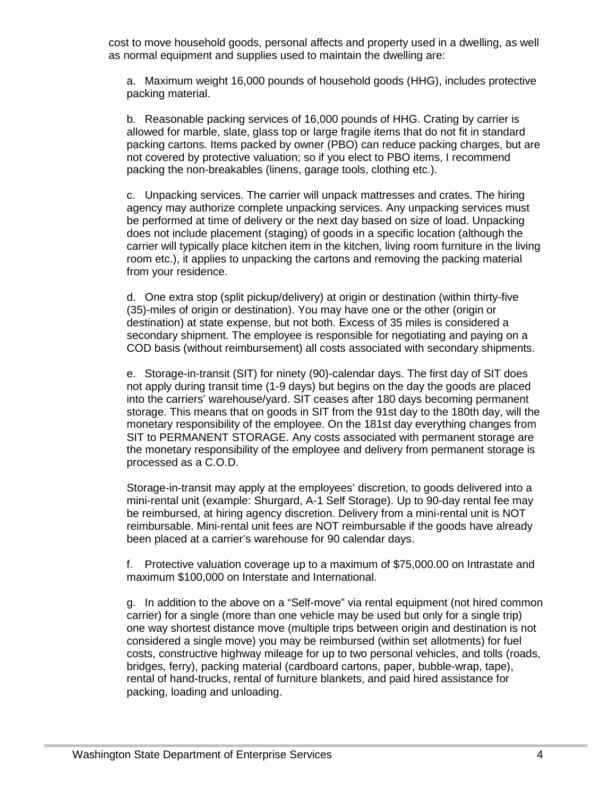cost to move household goods, personal affects and property used in a dwelling, as well as normal equipment and supplies used to maintain the dwelling are:

a. Maximum weight 16,000 pounds of household goods (HHG), includes protective packing material.

b. Reasonable packing services of 16,000 pounds of HHG. Crating by carrier is allowed for marble, slate, glass top or large fragile items that do not fit in standard packing cartons. Items packed by owner (PBO) can reduce packing charges, but are not covered by protective valuation; so if you elect to PBO items, I recommend packing the non-breakables (linens, garage tools, clothing etc.).

c. Unpacking services. The carrier will unpack mattresses and crates. The hiring agency may authorize complete unpacking services. Any unpacking services must be performed at time of delivery or the next day based on size of load. Unpacking does not include placement (staging) of goods in a specific location (although the carrier will typically place kitchen item in the kitchen, living room furniture in the living room etc.), it applies to unpacking the cartons and removing the packing material from your residence.

d. One extra stop (split pickup/delivery) at origin or destination (within thirty-five (35)-miles of origin or destination). You may have one or the other (origin or destination) at state expense, but not both. Excess of 35 miles is considered a secondary shipment. The employee is responsible for negotiating and paying on a COD basis (without reimbursement) all costs associated with secondary shipments.

e. Storage-in-transit (SIT) for ninety (90)-calendar days. The first day of SIT does not apply during transit time (1-9 days) but begins on the day the goods are placed into the carriers' warehouse/yard. SIT ceases after 180 days becoming permanent storage. This means that on goods in SIT from the 91st day to the 180th day, will the monetary responsibility of the employee. On the 181st day everything changes from SIT to PERMANENT STORAGE. Any costs associated with permanent storage are the monetary responsibility of the employee and delivery from permanent storage is processed as a C.O.D.

Storage-in-transit may apply at the employees' discretion, to goods delivered into a mini-rental unit (example: Shurgard, A-1 Self Storage). Up to 90-day rental fee may be reimbursed, at hiring agency discretion. Delivery from a mini-rental unit is NOT reimbursable. Mini-rental unit fees are NOT reimbursable if the goods have already been placed at a carrier's warehouse for 90 calendar days.

f. Protective valuation coverage up to a maximum of \$75,000.00 on Intrastate and maximum \$100,000 on Interstate and International.

g. In addition to the above on a "Self-move" via rental equipment (not hired common carrier) for a single (more than one vehicle may be used but only for a single trip) one way shortest distance move (multiple trips between origin and destination is not considered a single move) you may be reimbursed (within set allotments) for fuel costs, constructive highway mileage for up to two personal vehicles, and tolls (roads, bridges, ferry), packing material (cardboard cartons, paper, bubble-wrap, tape), rental of hand-trucks, rental of furniture blankets, and paid hired assistance for packing, loading and unloading.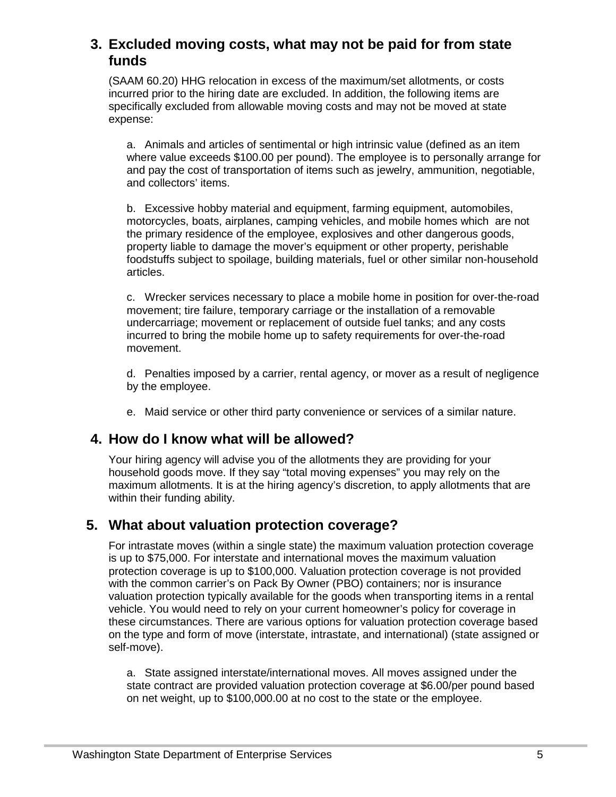## <span id="page-4-0"></span>**3. Excluded moving costs, what may not be paid for from state funds**

(SAAM 60.20) HHG relocation in excess of the maximum/set allotments, or costs incurred prior to the hiring date are excluded. In addition, the following items are specifically excluded from allowable moving costs and may not be moved at state expense:

a. Animals and articles of sentimental or high intrinsic value (defined as an item where value exceeds \$100.00 per pound). The employee is to personally arrange for and pay the cost of transportation of items such as jewelry, ammunition, negotiable, and collectors' items.

b. Excessive hobby material and equipment, farming equipment, automobiles, motorcycles, boats, airplanes, camping vehicles, and mobile homes which are not the primary residence of the employee, explosives and other dangerous goods, property liable to damage the mover's equipment or other property, perishable foodstuffs subject to spoilage, building materials, fuel or other similar non-household articles.

c. Wrecker services necessary to place a mobile home in position for over-the-road movement; tire failure, temporary carriage or the installation of a removable undercarriage; movement or replacement of outside fuel tanks; and any costs incurred to bring the mobile home up to safety requirements for over-the-road movement.

d. Penalties imposed by a carrier, rental agency, or mover as a result of negligence by the employee.

e. Maid service or other third party convenience or services of a similar nature.

## <span id="page-4-1"></span>**4. How do I know what will be allowed?**

Your hiring agency will advise you of the allotments they are providing for your household goods move. If they say "total moving expenses" you may rely on the maximum allotments. It is at the hiring agency's discretion, to apply allotments that are within their funding ability.

## <span id="page-4-2"></span>**5. What about valuation protection coverage?**

For intrastate moves (within a single state) the maximum valuation protection coverage is up to \$75,000. For interstate and international moves the maximum valuation protection coverage is up to \$100,000. Valuation protection coverage is not provided with the common carrier's on Pack By Owner (PBO) containers; nor is insurance valuation protection typically available for the goods when transporting items in a rental vehicle. You would need to rely on your current homeowner's policy for coverage in these circumstances. There are various options for valuation protection coverage based on the type and form of move (interstate, intrastate, and international) (state assigned or self-move).

a. State assigned interstate/international moves. All moves assigned under the state contract are provided valuation protection coverage at \$6.00/per pound based on net weight, up to \$100,000.00 at no cost to the state or the employee.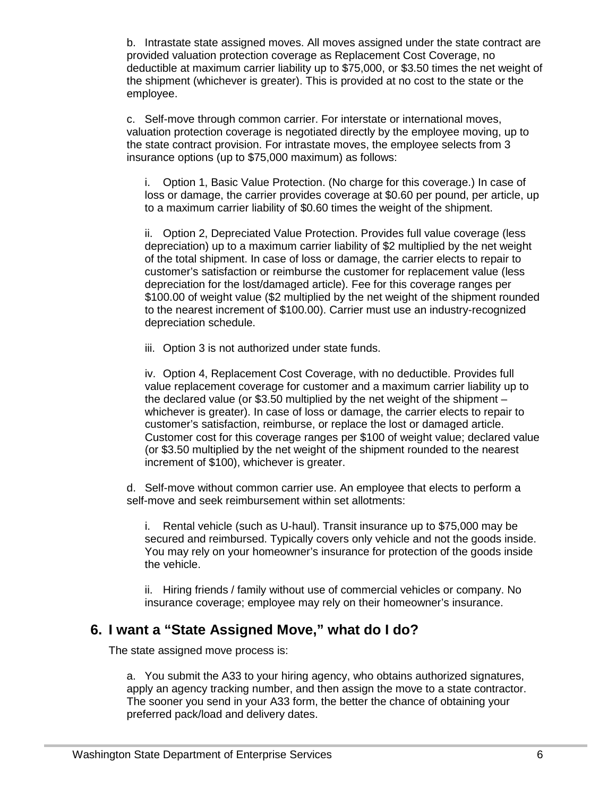b. Intrastate state assigned moves. All moves assigned under the state contract are provided valuation protection coverage as Replacement Cost Coverage, no deductible at maximum carrier liability up to \$75,000, or \$3.50 times the net weight of the shipment (whichever is greater). This is provided at no cost to the state or the employee.

c. Self-move through common carrier. For interstate or international moves, valuation protection coverage is negotiated directly by the employee moving, up to the state contract provision. For intrastate moves, the employee selects from 3 insurance options (up to \$75,000 maximum) as follows:

i. Option 1, Basic Value Protection. (No charge for this coverage.) In case of loss or damage, the carrier provides coverage at \$0.60 per pound, per article, up to a maximum carrier liability of \$0.60 times the weight of the shipment.

ii. Option 2, Depreciated Value Protection. Provides full value coverage (less depreciation) up to a maximum carrier liability of \$2 multiplied by the net weight of the total shipment. In case of loss or damage, the carrier elects to repair to customer's satisfaction or reimburse the customer for replacement value (less depreciation for the lost/damaged article). Fee for this coverage ranges per \$100.00 of weight value (\$2 multiplied by the net weight of the shipment rounded to the nearest increment of \$100.00). Carrier must use an industry-recognized depreciation schedule.

iii. Option 3 is not authorized under state funds.

iv. Option 4, Replacement Cost Coverage, with no deductible. Provides full value replacement coverage for customer and a maximum carrier liability up to the declared value (or \$3.50 multiplied by the net weight of the shipment – whichever is greater). In case of loss or damage, the carrier elects to repair to customer's satisfaction, reimburse, or replace the lost or damaged article. Customer cost for this coverage ranges per \$100 of weight value; declared value (or \$3.50 multiplied by the net weight of the shipment rounded to the nearest increment of \$100), whichever is greater.

d. Self-move without common carrier use. An employee that elects to perform a self-move and seek reimbursement within set allotments:

i. Rental vehicle (such as U-haul). Transit insurance up to \$75,000 may be secured and reimbursed. Typically covers only vehicle and not the goods inside. You may rely on your homeowner's insurance for protection of the goods inside the vehicle.

ii. Hiring friends / family without use of commercial vehicles or company. No insurance coverage; employee may rely on their homeowner's insurance.

#### <span id="page-5-0"></span>**6. I want a "State Assigned Move," what do I do?**

The state assigned move process is:

a. You submit the A33 to your hiring agency, who obtains authorized signatures, apply an agency tracking number, and then assign the move to a state contractor. The sooner you send in your A33 form, the better the chance of obtaining your preferred pack/load and delivery dates.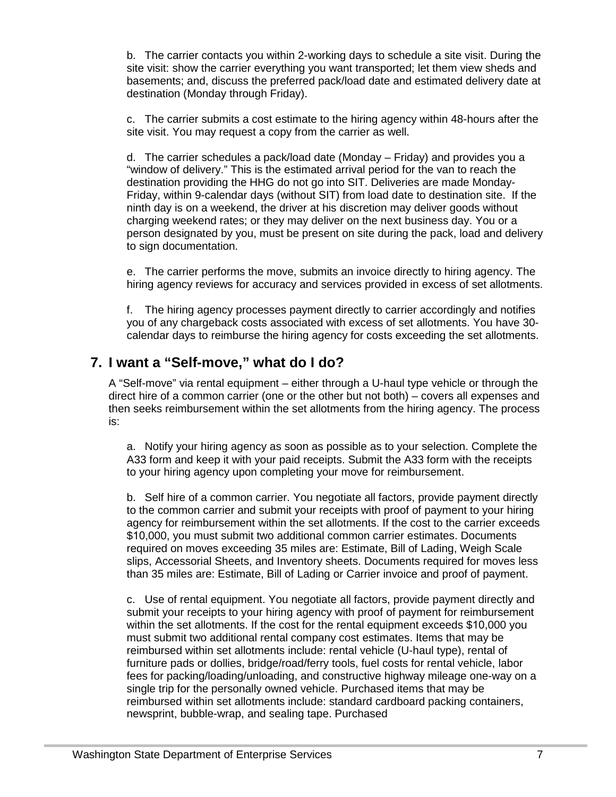b. The carrier contacts you within 2-working days to schedule a site visit. During the site visit: show the carrier everything you want transported; let them view sheds and basements; and, discuss the preferred pack/load date and estimated delivery date at destination (Monday through Friday).

c. The carrier submits a cost estimate to the hiring agency within 48-hours after the site visit. You may request a copy from the carrier as well.

d. The carrier schedules a pack/load date (Monday – Friday) and provides you a "window of delivery." This is the estimated arrival period for the van to reach the destination providing the HHG do not go into SIT. Deliveries are made Monday-Friday, within 9-calendar days (without SIT) from load date to destination site. If the ninth day is on a weekend, the driver at his discretion may deliver goods without charging weekend rates; or they may deliver on the next business day. You or a person designated by you, must be present on site during the pack, load and delivery to sign documentation.

e. The carrier performs the move, submits an invoice directly to hiring agency. The hiring agency reviews for accuracy and services provided in excess of set allotments.

f. The hiring agency processes payment directly to carrier accordingly and notifies you of any chargeback costs associated with excess of set allotments. You have 30 calendar days to reimburse the hiring agency for costs exceeding the set allotments.

## <span id="page-6-0"></span>**7. I want a "Self-move," what do I do?**

A "Self-move" via rental equipment – either through a U-haul type vehicle or through the direct hire of a common carrier (one or the other but not both) – covers all expenses and then seeks reimbursement within the set allotments from the hiring agency. The process is:

a. Notify your hiring agency as soon as possible as to your selection. Complete the A33 form and keep it with your paid receipts. Submit the A33 form with the receipts to your hiring agency upon completing your move for reimbursement.

b. Self hire of a common carrier. You negotiate all factors, provide payment directly to the common carrier and submit your receipts with proof of payment to your hiring agency for reimbursement within the set allotments. If the cost to the carrier exceeds \$10,000, you must submit two additional common carrier estimates. Documents required on moves exceeding 35 miles are: Estimate, Bill of Lading, Weigh Scale slips, Accessorial Sheets, and Inventory sheets. Documents required for moves less than 35 miles are: Estimate, Bill of Lading or Carrier invoice and proof of payment.

c. Use of rental equipment. You negotiate all factors, provide payment directly and submit your receipts to your hiring agency with proof of payment for reimbursement within the set allotments. If the cost for the rental equipment exceeds \$10,000 you must submit two additional rental company cost estimates. Items that may be reimbursed within set allotments include: rental vehicle (U-haul type), rental of furniture pads or dollies, bridge/road/ferry tools, fuel costs for rental vehicle, labor fees for packing/loading/unloading, and constructive highway mileage one-way on a single trip for the personally owned vehicle. Purchased items that may be reimbursed within set allotments include: standard cardboard packing containers, newsprint, bubble-wrap, and sealing tape. Purchased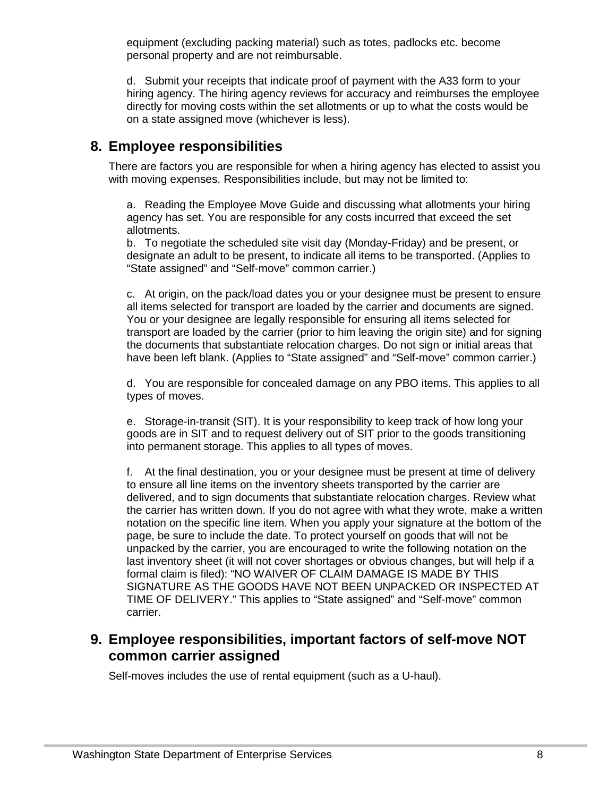equipment (excluding packing material) such as totes, padlocks etc. become personal property and are not reimbursable.

d. Submit your receipts that indicate proof of payment with the A33 form to your hiring agency. The hiring agency reviews for accuracy and reimburses the employee directly for moving costs within the set allotments or up to what the costs would be on a state assigned move (whichever is less).

### <span id="page-7-0"></span>**8. Employee responsibilities**

There are factors you are responsible for when a hiring agency has elected to assist you with moving expenses. Responsibilities include, but may not be limited to:

a. Reading the Employee Move Guide and discussing what allotments your hiring agency has set. You are responsible for any costs incurred that exceed the set allotments.

b. To negotiate the scheduled site visit day (Monday-Friday) and be present, or designate an adult to be present, to indicate all items to be transported. (Applies to "State assigned" and "Self-move" common carrier.)

c. At origin, on the pack/load dates you or your designee must be present to ensure all items selected for transport are loaded by the carrier and documents are signed. You or your designee are legally responsible for ensuring all items selected for transport are loaded by the carrier (prior to him leaving the origin site) and for signing the documents that substantiate relocation charges. Do not sign or initial areas that have been left blank. (Applies to "State assigned" and "Self-move" common carrier.)

d. You are responsible for concealed damage on any PBO items. This applies to all types of moves.

e. Storage-in-transit (SIT). It is your responsibility to keep track of how long your goods are in SIT and to request delivery out of SIT prior to the goods transitioning into permanent storage. This applies to all types of moves.

f. At the final destination, you or your designee must be present at time of delivery to ensure all line items on the inventory sheets transported by the carrier are delivered, and to sign documents that substantiate relocation charges. Review what the carrier has written down. If you do not agree with what they wrote, make a written notation on the specific line item. When you apply your signature at the bottom of the page, be sure to include the date. To protect yourself on goods that will not be unpacked by the carrier, you are encouraged to write the following notation on the last inventory sheet (it will not cover shortages or obvious changes, but will help if a formal claim is filed): "NO WAIVER OF CLAIM DAMAGE IS MADE BY THIS SIGNATURE AS THE GOODS HAVE NOT BEEN UNPACKED OR INSPECTED AT TIME OF DELIVERY." This applies to "State assigned" and "Self-move" common carrier.

## <span id="page-7-1"></span>**9. Employee responsibilities, important factors of self-move NOT common carrier assigned**

Self-moves includes the use of rental equipment (such as a U-haul).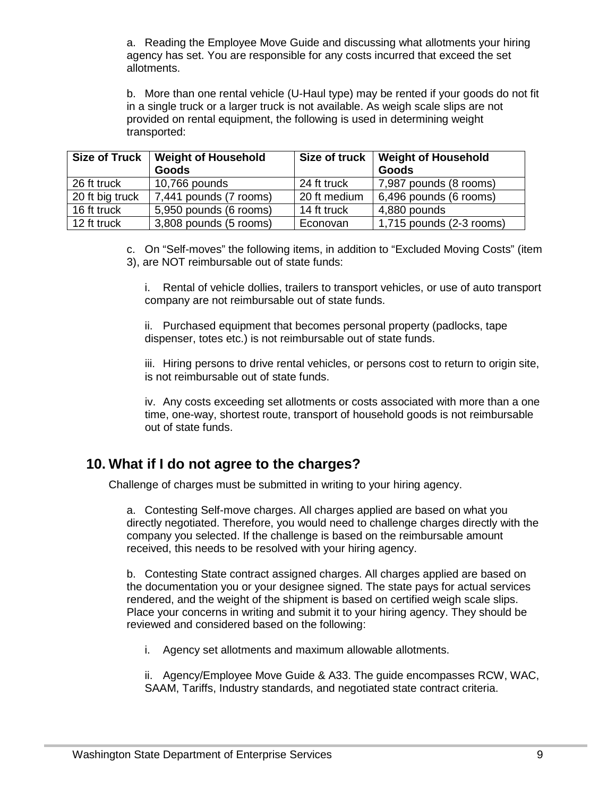a. Reading the Employee Move Guide and discussing what allotments your hiring agency has set. You are responsible for any costs incurred that exceed the set allotments.

b. More than one rental vehicle (U-Haul type) may be rented if your goods do not fit in a single truck or a larger truck is not available. As weigh scale slips are not provided on rental equipment, the following is used in determining weight transported:

| <b>Size of Truck</b> | <b>Weight of Household</b><br>Goods | Size of truck | <b>Weight of Household</b><br>Goods |
|----------------------|-------------------------------------|---------------|-------------------------------------|
| 26 ft truck          | 10,766 pounds                       | 24 ft truck   | 7,987 pounds (8 rooms)              |
| 20 ft big truck      | 7,441 pounds (7 rooms)              | 20 ft medium  | 6,496 pounds (6 rooms)              |
| 16 ft truck          | 5,950 pounds (6 rooms)              | 14 ft truck   | 4,880 pounds                        |
| 12 ft truck          | 3,808 pounds (5 rooms)              | Econovan      | $1,715$ pounds $(2-3$ rooms)        |

c. On "Self-moves" the following items, in addition to "Excluded Moving Costs" (item 3), are NOT reimbursable out of state funds:

i. Rental of vehicle dollies, trailers to transport vehicles, or use of auto transport company are not reimbursable out of state funds.

ii. Purchased equipment that becomes personal property (padlocks, tape dispenser, totes etc.) is not reimbursable out of state funds.

iii. Hiring persons to drive rental vehicles, or persons cost to return to origin site, is not reimbursable out of state funds.

iv. Any costs exceeding set allotments or costs associated with more than a one time, one-way, shortest route, transport of household goods is not reimbursable out of state funds.

#### <span id="page-8-0"></span>**10. What if I do not agree to the charges?**

Challenge of charges must be submitted in writing to your hiring agency.

a. Contesting Self-move charges. All charges applied are based on what you directly negotiated. Therefore, you would need to challenge charges directly with the company you selected. If the challenge is based on the reimbursable amount received, this needs to be resolved with your hiring agency.

b. Contesting State contract assigned charges. All charges applied are based on the documentation you or your designee signed. The state pays for actual services rendered, and the weight of the shipment is based on certified weigh scale slips. Place your concerns in writing and submit it to your hiring agency. They should be reviewed and considered based on the following:

i. Agency set allotments and maximum allowable allotments.

ii. Agency/Employee Move Guide & A33. The guide encompasses RCW, WAC, SAAM, Tariffs, Industry standards, and negotiated state contract criteria.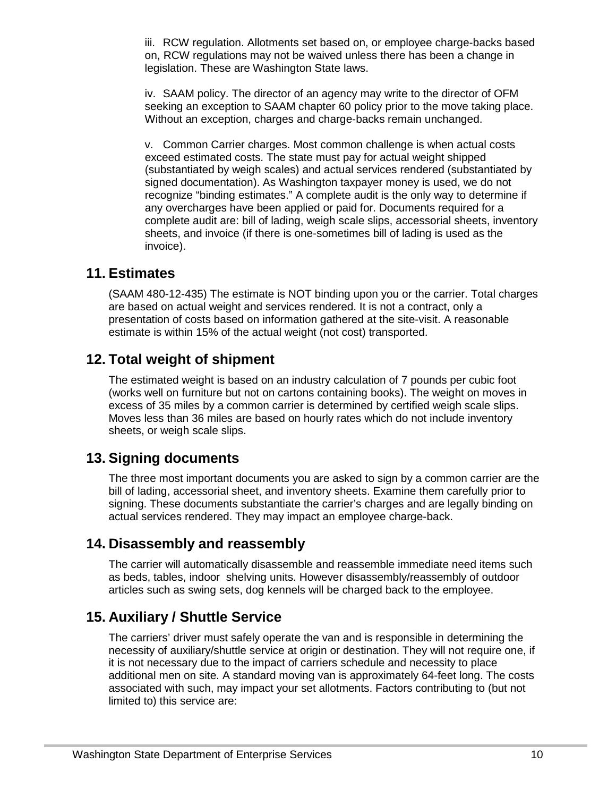iii. RCW regulation. Allotments set based on, or employee charge-backs based on, RCW regulations may not be waived unless there has been a change in legislation. These are Washington State laws.

iv. SAAM policy. The director of an agency may write to the director of OFM seeking an exception to SAAM chapter 60 policy prior to the move taking place. Without an exception, charges and charge-backs remain unchanged.

v. Common Carrier charges. Most common challenge is when actual costs exceed estimated costs. The state must pay for actual weight shipped (substantiated by weigh scales) and actual services rendered (substantiated by signed documentation). As Washington taxpayer money is used, we do not recognize "binding estimates." A complete audit is the only way to determine if any overcharges have been applied or paid for. Documents required for a complete audit are: bill of lading, weigh scale slips, accessorial sheets, inventory sheets, and invoice (if there is one-sometimes bill of lading is used as the invoice).

#### <span id="page-9-0"></span>**11. Estimates**

(SAAM 480-12-435) The estimate is NOT binding upon you or the carrier. Total charges are based on actual weight and services rendered. It is not a contract, only a presentation of costs based on information gathered at the site-visit. A reasonable estimate is within 15% of the actual weight (not cost) transported.

#### <span id="page-9-1"></span>**12. Total weight of shipment**

The estimated weight is based on an industry calculation of 7 pounds per cubic foot (works well on furniture but not on cartons containing books). The weight on moves in excess of 35 miles by a common carrier is determined by certified weigh scale slips. Moves less than 36 miles are based on hourly rates which do not include inventory sheets, or weigh scale slips.

## <span id="page-9-2"></span>**13. Signing documents**

The three most important documents you are asked to sign by a common carrier are the bill of lading, accessorial sheet, and inventory sheets. Examine them carefully prior to signing. These documents substantiate the carrier's charges and are legally binding on actual services rendered. They may impact an employee charge-back.

## <span id="page-9-3"></span>**14. Disassembly and reassembly**

The carrier will automatically disassemble and reassemble immediate need items such as beds, tables, indoor shelving units. However disassembly/reassembly of outdoor articles such as swing sets, dog kennels will be charged back to the employee.

## <span id="page-9-4"></span>**15. Auxiliary / Shuttle Service**

The carriers' driver must safely operate the van and is responsible in determining the necessity of auxiliary/shuttle service at origin or destination. They will not require one, if it is not necessary due to the impact of carriers schedule and necessity to place additional men on site. A standard moving van is approximately 64-feet long. The costs associated with such, may impact your set allotments. Factors contributing to (but not limited to) this service are: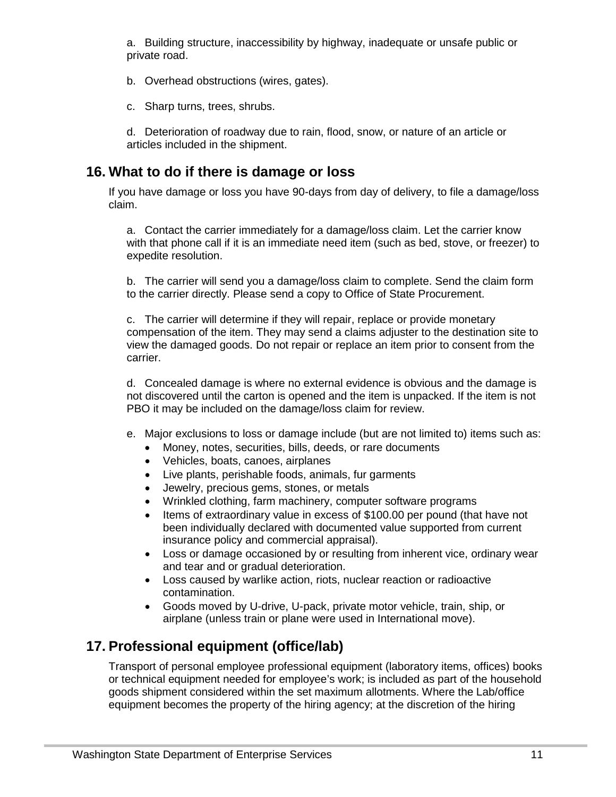a. Building structure, inaccessibility by highway, inadequate or unsafe public or private road.

- b. Overhead obstructions (wires, gates).
- c. Sharp turns, trees, shrubs.

d. Deterioration of roadway due to rain, flood, snow, or nature of an article or articles included in the shipment.

## <span id="page-10-0"></span>**16. What to do if there is damage or loss**

If you have damage or loss you have 90-days from day of delivery, to file a damage/loss claim.

a. Contact the carrier immediately for a damage/loss claim. Let the carrier know with that phone call if it is an immediate need item (such as bed, stove, or freezer) to expedite resolution.

b. The carrier will send you a damage/loss claim to complete. Send the claim form to the carrier directly. Please send a copy to Office of State Procurement.

c. The carrier will determine if they will repair, replace or provide monetary compensation of the item. They may send a claims adjuster to the destination site to view the damaged goods. Do not repair or replace an item prior to consent from the carrier.

d. Concealed damage is where no external evidence is obvious and the damage is not discovered until the carton is opened and the item is unpacked. If the item is not PBO it may be included on the damage/loss claim for review.

- e. Major exclusions to loss or damage include (but are not limited to) items such as:
	- Money, notes, securities, bills, deeds, or rare documents
	- Vehicles, boats, canoes, airplanes
	- Live plants, perishable foods, animals, fur garments
	- Jewelry, precious gems, stones, or metals
	- Wrinkled clothing, farm machinery, computer software programs
	- Items of extraordinary value in excess of \$100.00 per pound (that have not been individually declared with documented value supported from current insurance policy and commercial appraisal).
	- Loss or damage occasioned by or resulting from inherent vice, ordinary wear and tear and or gradual deterioration.
	- Loss caused by warlike action, riots, nuclear reaction or radioactive contamination.
	- Goods moved by U-drive, U-pack, private motor vehicle, train, ship, or airplane (unless train or plane were used in International move).

## <span id="page-10-1"></span>**17. Professional equipment (office/lab)**

Transport of personal employee professional equipment (laboratory items, offices) books or technical equipment needed for employee's work; is included as part of the household goods shipment considered within the set maximum allotments. Where the Lab/office equipment becomes the property of the hiring agency; at the discretion of the hiring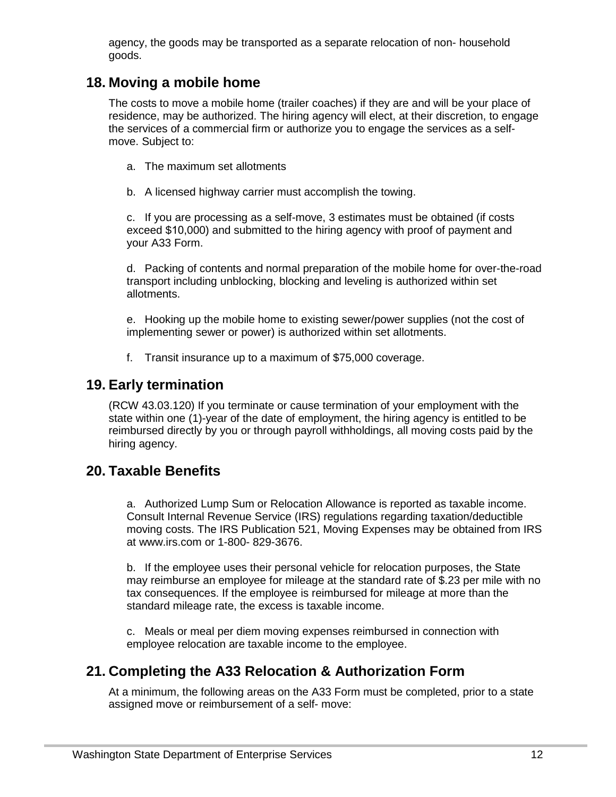agency, the goods may be transported as a separate relocation of non- household goods.

#### <span id="page-11-0"></span>**18. Moving a mobile home**

The costs to move a mobile home (trailer coaches) if they are and will be your place of residence, may be authorized. The hiring agency will elect, at their discretion, to engage the services of a commercial firm or authorize you to engage the services as a selfmove. Subject to:

- a. The maximum set allotments
- b. A licensed highway carrier must accomplish the towing.

c. If you are processing as a self-move, 3 estimates must be obtained (if costs exceed \$10,000) and submitted to the hiring agency with proof of payment and your A33 Form.

d. Packing of contents and normal preparation of the mobile home for over-the-road transport including unblocking, blocking and leveling is authorized within set allotments.

e. Hooking up the mobile home to existing sewer/power supplies (not the cost of implementing sewer or power) is authorized within set allotments.

f. Transit insurance up to a maximum of \$75,000 coverage.

#### <span id="page-11-1"></span>**19. Early termination**

(RCW 43.03.120) If you terminate or cause termination of your employment with the state within one (1)-year of the date of employment, the hiring agency is entitled to be reimbursed directly by you or through payroll withholdings, all moving costs paid by the hiring agency.

#### <span id="page-11-2"></span>**20. Taxable Benefits**

a. Authorized Lump Sum or Relocation Allowance is reported as taxable income. Consult Internal Revenue Service (IRS) regulations regarding taxation/deductible moving costs. The IRS Publication 521, Moving Expenses may be obtained from IRS at www.irs.com or 1-800- 829-3676.

b. If the employee uses their personal vehicle for relocation purposes, the State may reimburse an employee for mileage at the standard rate of \$.23 per mile with no tax consequences. If the employee is reimbursed for mileage at more than the standard mileage rate, the excess is taxable income.

c. Meals or meal per diem moving expenses reimbursed in connection with employee relocation are taxable income to the employee.

#### <span id="page-11-3"></span>**21. Completing the A33 Relocation & Authorization Form**

At a minimum, the following areas on the A33 Form must be completed, prior to a state assigned move or reimbursement of a self- move: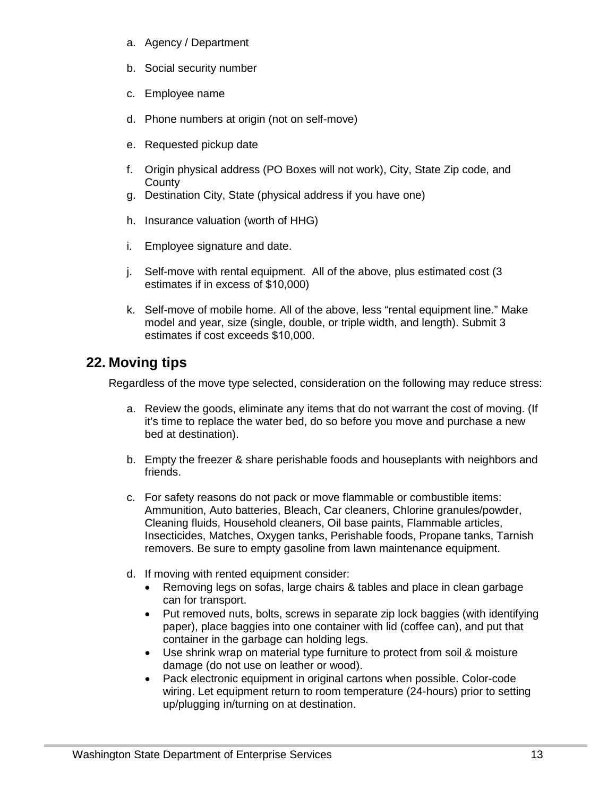- a. Agency / Department
- b. Social security number
- c. Employee name
- d. Phone numbers at origin (not on self-move)
- e. Requested pickup date
- f. Origin physical address (PO Boxes will not work), City, State Zip code, and **County**
- g. Destination City, State (physical address if you have one)
- h. Insurance valuation (worth of HHG)
- i. Employee signature and date.
- j. Self-move with rental equipment. All of the above, plus estimated cost (3 estimates if in excess of \$10,000)
- k. Self-move of mobile home. All of the above, less "rental equipment line." Make model and year, size (single, double, or triple width, and length). Submit 3 estimates if cost exceeds \$10,000.

### <span id="page-12-0"></span>**22. Moving tips**

Regardless of the move type selected, consideration on the following may reduce stress:

- a. Review the goods, eliminate any items that do not warrant the cost of moving. (If it's time to replace the water bed, do so before you move and purchase a new bed at destination).
- b. Empty the freezer & share perishable foods and houseplants with neighbors and friends.
- c. For safety reasons do not pack or move flammable or combustible items: Ammunition, Auto batteries, Bleach, Car cleaners, Chlorine granules/powder, Cleaning fluids, Household cleaners, Oil base paints, Flammable articles, Insecticides, Matches, Oxygen tanks, Perishable foods, Propane tanks, Tarnish removers. Be sure to empty gasoline from lawn maintenance equipment.
- d. If moving with rented equipment consider:
	- Removing legs on sofas, large chairs & tables and place in clean garbage can for transport.
	- Put removed nuts, bolts, screws in separate zip lock baggies (with identifying paper), place baggies into one container with lid (coffee can), and put that container in the garbage can holding legs.
	- Use shrink wrap on material type furniture to protect from soil & moisture damage (do not use on leather or wood).
	- Pack electronic equipment in original cartons when possible. Color-code wiring. Let equipment return to room temperature (24-hours) prior to setting up/plugging in/turning on at destination.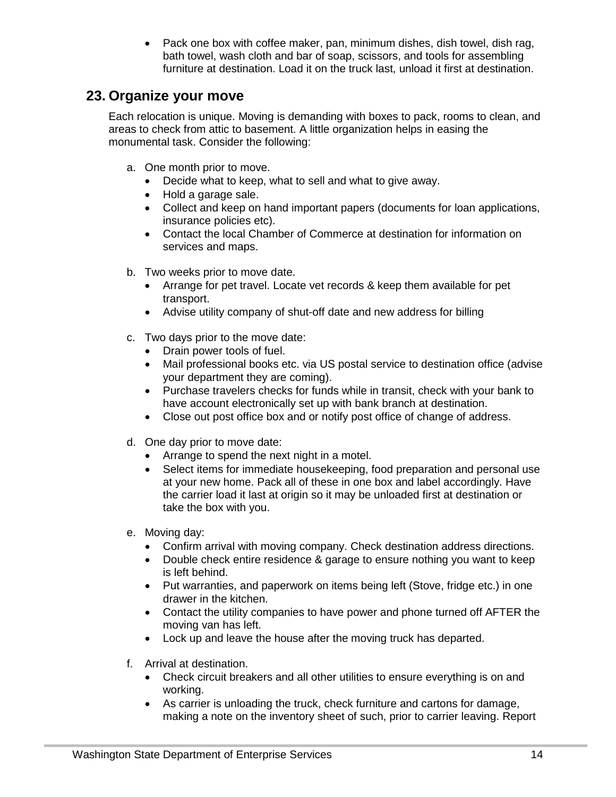• Pack one box with coffee maker, pan, minimum dishes, dish towel, dish rag, bath towel, wash cloth and bar of soap, scissors, and tools for assembling furniture at destination. Load it on the truck last, unload it first at destination.

#### <span id="page-13-0"></span>**23. Organize your move**

Each relocation is unique. Moving is demanding with boxes to pack, rooms to clean, and areas to check from attic to basement. A little organization helps in easing the monumental task. Consider the following:

- a. One month prior to move.
	- Decide what to keep, what to sell and what to give away.
	- Hold a garage sale.
	- Collect and keep on hand important papers (documents for loan applications, insurance policies etc).
	- Contact the local Chamber of Commerce at destination for information on services and maps.
- b. Two weeks prior to move date.
	- Arrange for pet travel. Locate vet records & keep them available for pet transport.
	- Advise utility company of shut-off date and new address for billing
- c. Two days prior to the move date:
	- Drain power tools of fuel.
	- Mail professional books etc. via US postal service to destination office (advise your department they are coming).
	- Purchase travelers checks for funds while in transit, check with your bank to have account electronically set up with bank branch at destination.
	- Close out post office box and or notify post office of change of address.
- d. One day prior to move date:
	- Arrange to spend the next night in a motel.
	- Select items for immediate housekeeping, food preparation and personal use at your new home. Pack all of these in one box and label accordingly. Have the carrier load it last at origin so it may be unloaded first at destination or take the box with you.
- e. Moving day:
	- Confirm arrival with moving company. Check destination address directions.
	- Double check entire residence & garage to ensure nothing you want to keep is left behind.
	- Put warranties, and paperwork on items being left (Stove, fridge etc.) in one drawer in the kitchen.
	- Contact the utility companies to have power and phone turned off AFTER the moving van has left.
	- Lock up and leave the house after the moving truck has departed.
- f. Arrival at destination.
	- Check circuit breakers and all other utilities to ensure everything is on and working.
	- As carrier is unloading the truck, check furniture and cartons for damage, making a note on the inventory sheet of such, prior to carrier leaving. Report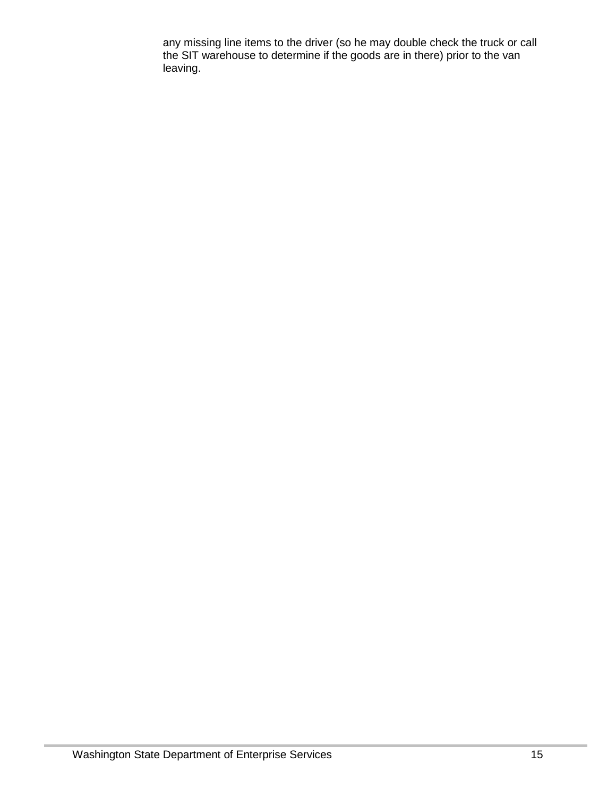any missing line items to the driver (so he may double check the truck or call the SIT warehouse to determine if the goods are in there) prior to the van leaving.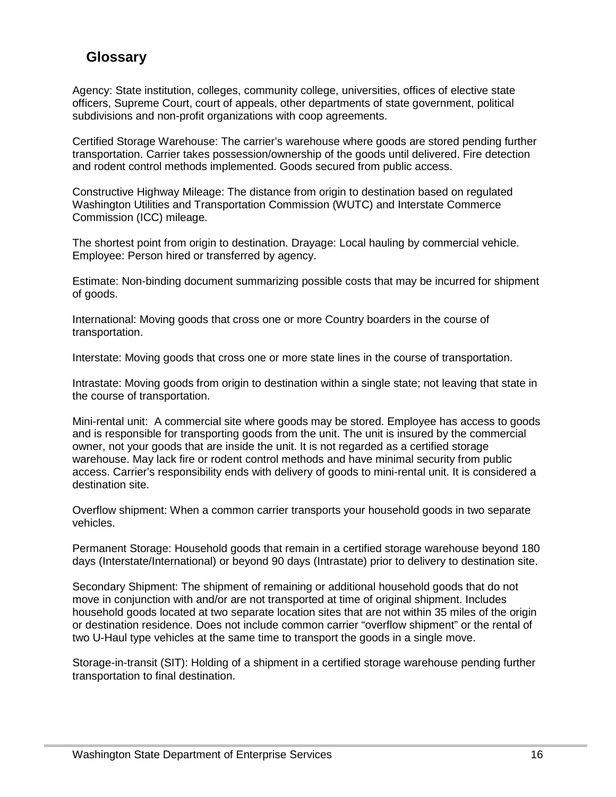## <span id="page-15-0"></span>**Glossary**

Agency: State institution, colleges, community college, universities, offices of elective state officers, Supreme Court, court of appeals, other departments of state government, political subdivisions and non-profit organizations with coop agreements.

Certified Storage Warehouse: The carrier's warehouse where goods are stored pending further transportation. Carrier takes possession/ownership of the goods until delivered. Fire detection and rodent control methods implemented. Goods secured from public access.

Constructive Highway Mileage: The distance from origin to destination based on regulated Washington Utilities and Transportation Commission (WUTC) and Interstate Commerce Commission (ICC) mileage.

The shortest point from origin to destination. Drayage: Local hauling by commercial vehicle. Employee: Person hired or transferred by agency.

Estimate: Non-binding document summarizing possible costs that may be incurred for shipment of goods.

International: Moving goods that cross one or more Country boarders in the course of transportation.

Interstate: Moving goods that cross one or more state lines in the course of transportation.

Intrastate: Moving goods from origin to destination within a single state; not leaving that state in the course of transportation.

Mini-rental unit: A commercial site where goods may be stored. Employee has access to goods and is responsible for transporting goods from the unit. The unit is insured by the commercial owner, not your goods that are inside the unit. It is not regarded as a certified storage warehouse. May lack fire or rodent control methods and have minimal security from public access. Carrier's responsibility ends with delivery of goods to mini-rental unit. It is considered a destination site.

Overflow shipment: When a common carrier transports your household goods in two separate vehicles.

Permanent Storage: Household goods that remain in a certified storage warehouse beyond 180 days (Interstate/International) or beyond 90 days (Intrastate) prior to delivery to destination site.

Secondary Shipment: The shipment of remaining or additional household goods that do not move in conjunction with and/or are not transported at time of original shipment. Includes household goods located at two separate location sites that are not within 35 miles of the origin or destination residence. Does not include common carrier "overflow shipment" or the rental of two U-Haul type vehicles at the same time to transport the goods in a single move.

Storage-in-transit (SIT): Holding of a shipment in a certified storage warehouse pending further transportation to final destination.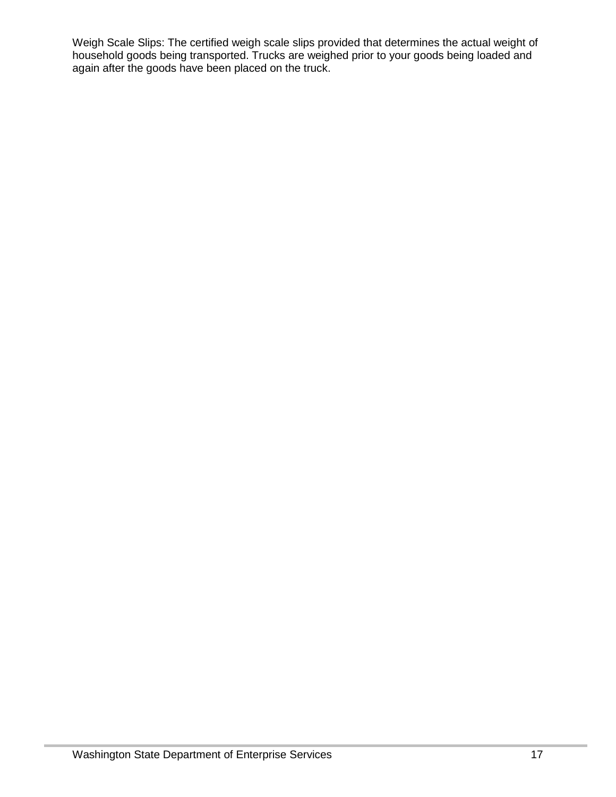Weigh Scale Slips: The certified weigh scale slips provided that determines the actual weight of household goods being transported. Trucks are weighed prior to your goods being loaded and again after the goods have been placed on the truck.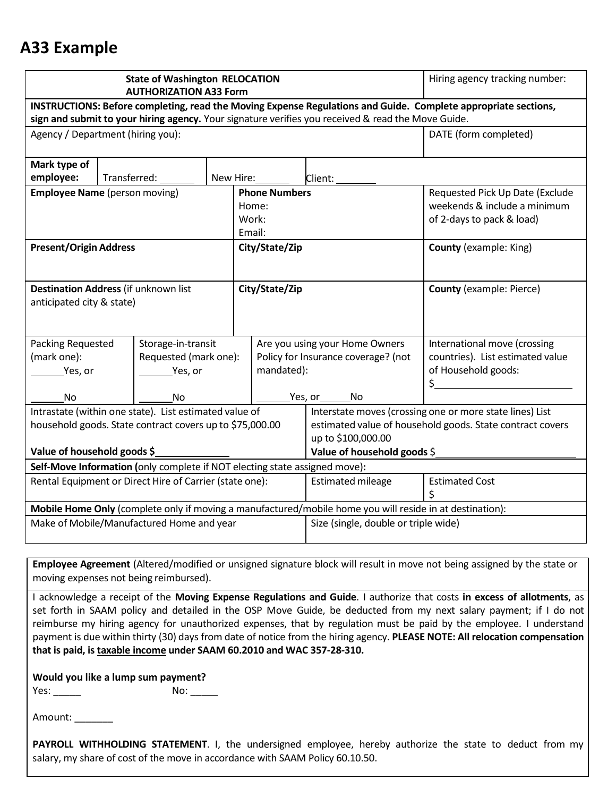# **A33 Example**

|                                                                                                          |                           | <b>State of Washington RELOCATION</b><br><b>AUTHORIZATION A33 Form</b> |                |                                     |                |                                                                                                    | Hiring agency tracking number:                                                                                 |
|----------------------------------------------------------------------------------------------------------|---------------------------|------------------------------------------------------------------------|----------------|-------------------------------------|----------------|----------------------------------------------------------------------------------------------------|----------------------------------------------------------------------------------------------------------------|
|                                                                                                          |                           |                                                                        |                |                                     |                |                                                                                                    | INSTRUCTIONS: Before completing, read the Moving Expense Regulations and Guide. Complete appropriate sections, |
|                                                                                                          |                           |                                                                        |                |                                     |                | sign and submit to your hiring agency. Your signature verifies you received & read the Move Guide. |                                                                                                                |
| Agency / Department (hiring you):                                                                        |                           |                                                                        |                |                                     |                |                                                                                                    | DATE (form completed)                                                                                          |
| Mark type of                                                                                             |                           |                                                                        |                |                                     |                |                                                                                                    |                                                                                                                |
| employee:                                                                                                | Transferred:<br>New Hire: |                                                                        |                |                                     |                | Client:                                                                                            |                                                                                                                |
| <b>Employee Name</b> (person moving)                                                                     |                           |                                                                        |                | <b>Phone Numbers</b>                |                |                                                                                                    | Requested Pick Up Date (Exclude                                                                                |
|                                                                                                          |                           |                                                                        |                | Home:                               |                |                                                                                                    | weekends & include a minimum                                                                                   |
|                                                                                                          |                           |                                                                        |                | Work:                               |                |                                                                                                    | of 2-days to pack & load)                                                                                      |
|                                                                                                          |                           |                                                                        |                | Email:                              |                |                                                                                                    |                                                                                                                |
| <b>Present/Origin Address</b>                                                                            |                           |                                                                        |                |                                     | City/State/Zip |                                                                                                    | <b>County (example: King)</b>                                                                                  |
|                                                                                                          |                           |                                                                        |                |                                     |                |                                                                                                    |                                                                                                                |
|                                                                                                          |                           |                                                                        |                |                                     |                |                                                                                                    |                                                                                                                |
| <b>Destination Address (if unknown list</b>                                                              |                           |                                                                        |                |                                     | City/State/Zip |                                                                                                    | <b>County (example: Pierce)</b>                                                                                |
| anticipated city & state)                                                                                |                           |                                                                        |                |                                     |                |                                                                                                    |                                                                                                                |
|                                                                                                          |                           |                                                                        |                |                                     |                |                                                                                                    |                                                                                                                |
| Packing Requested                                                                                        |                           | Storage-in-transit                                                     |                |                                     |                | Are you using your Home Owners                                                                     | International move (crossing                                                                                   |
| (mark one):                                                                                              |                           | Requested (mark one):                                                  |                | Policy for Insurance coverage? (not |                |                                                                                                    | countries). List estimated value                                                                               |
| Yes, or                                                                                                  |                           | Yes, or                                                                |                | mandated):                          |                |                                                                                                    | of Household goods:                                                                                            |
|                                                                                                          |                           |                                                                        |                |                                     |                |                                                                                                    | \$                                                                                                             |
| No                                                                                                       | No                        |                                                                        | Yes, or<br>No. |                                     |                |                                                                                                    |                                                                                                                |
| Intrastate (within one state). List estimated value of                                                   |                           |                                                                        |                |                                     |                |                                                                                                    | Interstate moves (crossing one or more state lines) List                                                       |
| household goods. State contract covers up to \$75,000.00                                                 |                           |                                                                        |                |                                     |                | estimated value of household goods. State contract covers                                          |                                                                                                                |
|                                                                                                          |                           |                                                                        |                |                                     |                | up to \$100,000.00                                                                                 |                                                                                                                |
| Value of household goods \$                                                                              |                           |                                                                        |                |                                     |                | Value of household goods \$                                                                        |                                                                                                                |
| Self-Move Information (only complete if NOT electing state assigned move):                               |                           |                                                                        |                |                                     |                |                                                                                                    |                                                                                                                |
| Rental Equipment or Direct Hire of Carrier (state one):                                                  |                           |                                                                        |                |                                     |                | <b>Estimated mileage</b>                                                                           | <b>Estimated Cost</b>                                                                                          |
|                                                                                                          |                           |                                                                        |                |                                     |                |                                                                                                    | Ś                                                                                                              |
| Mobile Home Only (complete only if moving a manufactured/mobile home you will reside in at destination): |                           |                                                                        |                |                                     |                |                                                                                                    |                                                                                                                |
| Make of Mobile/Manufactured Home and year                                                                |                           |                                                                        |                |                                     |                | Size (single, double or triple wide)                                                               |                                                                                                                |
|                                                                                                          |                           |                                                                        |                |                                     |                |                                                                                                    |                                                                                                                |

**Employee Agreement** (Altered/modified or unsigned signature block will result in move not being assigned by the state or moving expenses not being reimbursed).

I acknowledge a receipt of the **Moving Expense Regulations and Guide**. I authorize that costs **in excess of allotments**, as set forth in SAAM policy and detailed in the OSP Move Guide, be deducted from my next salary payment; if I do not reimburse my hiring agency for unauthorized expenses, that by regulation must be paid by the employee. I understand payment is due within thirty (30) days from date of notice from the hiring agency. **PLEASE NOTE: All relocation compensation that is paid, is taxable income under SAAM 60.2010 and WAC 357-28-310.**

| Would you like a lump sum payment? |     |
|------------------------------------|-----|
| Yes:                               | No: |

Amount:

**PAYROLL WITHHOLDING STATEMENT**. I, the undersigned employee, hereby authorize the state to deduct from my salary, my share of cost of the move in accordance with SAAM Policy 60.10.50.